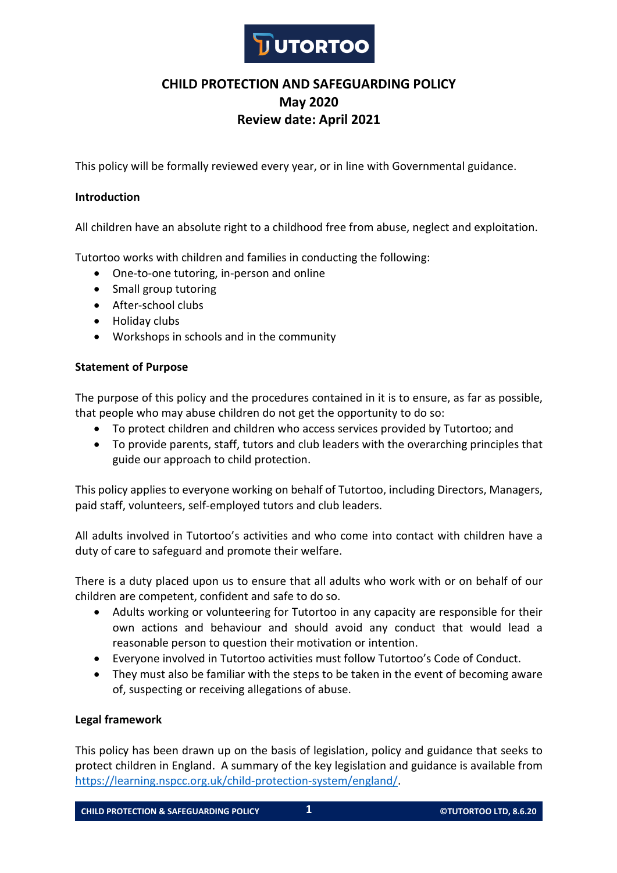

# **CHILD PROTECTION AND SAFEGUARDING POLICY May 2020 Review date: April 2021**

This policy will be formally reviewed every year, or in line with Governmental guidance.

### **Introduction**

All children have an absolute right to a childhood free from abuse, neglect and exploitation.

Tutortoo works with children and families in conducting the following:

- One-to-one tutoring, in-person and online
- Small group tutoring
- After-school clubs
- Holiday clubs
- Workshops in schools and in the community

### **Statement of Purpose**

The purpose of this policy and the procedures contained in it is to ensure, as far as possible, that people who may abuse children do not get the opportunity to do so:

- To protect children and children who access services provided by Tutortoo; and
- To provide parents, staff, tutors and club leaders with the overarching principles that guide our approach to child protection.

This policy applies to everyone working on behalf of Tutortoo, including Directors, Managers, paid staff, volunteers, self-employed tutors and club leaders.

All adults involved in Tutortoo's activities and who come into contact with children have a duty of care to safeguard and promote their welfare.

There is a duty placed upon us to ensure that all adults who work with or on behalf of our children are competent, confident and safe to do so.

- Adults working or volunteering for Tutortoo in any capacity are responsible for their own actions and behaviour and should avoid any conduct that would lead a reasonable person to question their motivation or intention.
- Everyone involved in Tutortoo activities must follow Tutortoo's Code of Conduct.
- They must also be familiar with the steps to be taken in the event of becoming aware of, suspecting or receiving allegations of abuse.

### **Legal framework**

This policy has been drawn up on the basis of legislation, policy and guidance that seeks to protect children in England. A summary of the key legislation and guidance is available from https://learning.nspcc.org.uk/child-protection-system/england/.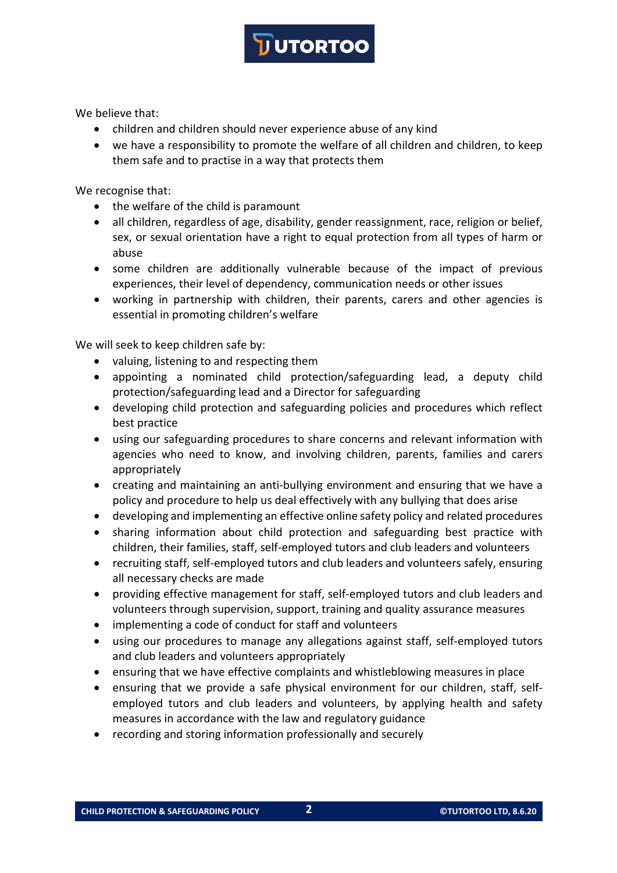We believe that:

- children and children should never experience abuse of any kind
- we have a responsibility to promote the welfare of all children and children, to keep them safe and to practise in a way that protects them

We recognise that:

- the welfare of the child is paramount
- all children, regardless of age, disability, gender reassignment, race, religion or belief, sex, or sexual orientation have a right to equal protection from all types of harm or abuse
- some children are additionally vulnerable because of the impact of previous experiences, their level of dependency, communication needs or other issues
- working in partnership with children, their parents, carers and other agencies is essential in promoting children's welfare

We will seek to keep children safe by:

- valuing, listening to and respecting them
- appointing a nominated child protection/safeguarding lead, a deputy child protection/safeguarding lead and a Director for safeguarding
- developing child protection and safeguarding policies and procedures which reflect best practice
- using our safeguarding procedures to share concerns and relevant information with agencies who need to know, and involving children, parents, families and carers appropriately
- creating and maintaining an anti-bullying environment and ensuring that we have a policy and procedure to help us deal effectively with any bullying that does arise
- developing and implementing an effective online safety policy and related procedures
- sharing information about child protection and safeguarding best practice with children, their families, staff, self-employed tutors and club leaders and volunteers
- recruiting staff, self-employed tutors and club leaders and volunteers safely, ensuring all necessary checks are made
- providing effective management for staff, self-employed tutors and club leaders and volunteers through supervision, support, training and quality assurance measures
- implementing a code of conduct for staff and volunteers
- using our procedures to manage any allegations against staff, self-employed tutors and club leaders and volunteers appropriately
- ensuring that we have effective complaints and whistleblowing measures in place
- ensuring that we provide a safe physical environment for our children, staff, selfemployed tutors and club leaders and volunteers, by applying health and safety measures in accordance with the law and regulatory guidance
- recording and storing information professionally and securely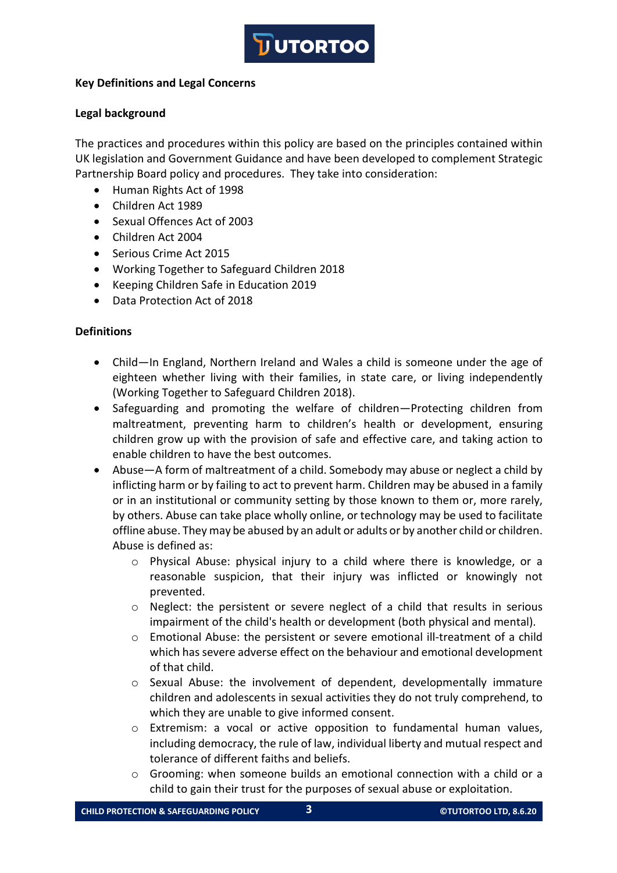

### **Key Definitions and Legal Concerns**

### **Legal background**

The practices and procedures within this policy are based on the principles contained within UK legislation and Government Guidance and have been developed to complement Strategic Partnership Board policy and procedures. They take into consideration:

- Human Rights Act of 1998
- Children Act 1989
- Sexual Offences Act of 2003
- Children Act 2004
- Serious Crime Act 2015
- Working Together to Safeguard Children 2018
- Keeping Children Safe in Education 2019
- Data Protection Act of 2018

#### **Definitions**

- Child—In England, Northern Ireland and Wales a child is someone under the age of eighteen whether living with their families, in state care, or living independently (Working Together to Safeguard Children 2018).
- Safeguarding and promoting the welfare of children—Protecting children from maltreatment, preventing harm to children's health or development, ensuring children grow up with the provision of safe and effective care, and taking action to enable children to have the best outcomes.
- Abuse—A form of maltreatment of a child. Somebody may abuse or neglect a child by inflicting harm or by failing to act to prevent harm. Children may be abused in a family or in an institutional or community setting by those known to them or, more rarely, by others. Abuse can take place wholly online, or technology may be used to facilitate offline abuse. They may be abused by an adult or adults or by another child or children. Abuse is defined as:
	- o Physical Abuse: physical injury to a child where there is knowledge, or a reasonable suspicion, that their injury was inflicted or knowingly not prevented.
	- $\circ$  Neglect: the persistent or severe neglect of a child that results in serious impairment of the child's health or development (both physical and mental).
	- o Emotional Abuse: the persistent or severe emotional ill-treatment of a child which has severe adverse effect on the behaviour and emotional development of that child.
	- $\circ$  Sexual Abuse: the involvement of dependent, developmentally immature children and adolescents in sexual activities they do not truly comprehend, to which they are unable to give informed consent.
	- o Extremism: a vocal or active opposition to fundamental human values, including democracy, the rule of law, individual liberty and mutual respect and tolerance of different faiths and beliefs.
	- $\circ$  Grooming: when someone builds an emotional connection with a child or a child to gain their trust for the purposes of sexual abuse or exploitation.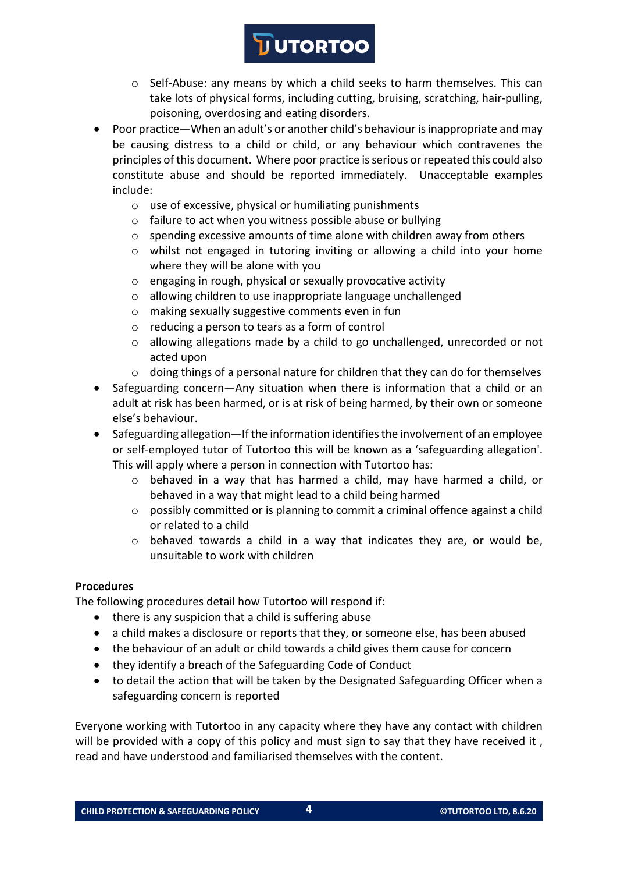- o Self-Abuse: any means by which a child seeks to harm themselves. This can take lots of physical forms, including cutting, bruising, scratching, hair-pulling, poisoning, overdosing and eating disorders.
- Poor practice—When an adult's or another child's behaviour is inappropriate and may be causing distress to a child or child, or any behaviour which contravenes the principles of this document. Where poor practice is serious or repeated this could also constitute abuse and should be reported immediately. Unacceptable examples include:
	- o use of excessive, physical or humiliating punishments
	- o failure to act when you witness possible abuse or bullying
	- $\circ$  spending excessive amounts of time alone with children away from others
	- o whilst not engaged in tutoring inviting or allowing a child into your home where they will be alone with you
	- o engaging in rough, physical or sexually provocative activity
	- o allowing children to use inappropriate language unchallenged
	- o making sexually suggestive comments even in fun
	- o reducing a person to tears as a form of control
	- $\circ$  allowing allegations made by a child to go unchallenged, unrecorded or not acted upon
	- o doing things of a personal nature for children that they can do for themselves
- Safeguarding concern—Any situation when there is information that a child or an adult at risk has been harmed, or is at risk of being harmed, by their own or someone else's behaviour.
- Safeguarding allegation—If the information identifies the involvement of an employee or self-employed tutor of Tutortoo this will be known as a 'safeguarding allegation'. This will apply where a person in connection with Tutortoo has:
	- o behaved in a way that has harmed a child, may have harmed a child, or behaved in a way that might lead to a child being harmed
	- o possibly committed or is planning to commit a criminal offence against a child or related to a child
	- o behaved towards a child in a way that indicates they are, or would be, unsuitable to work with children

### **Procedures**

The following procedures detail how Tutortoo will respond if:

- there is any suspicion that a child is suffering abuse
- a child makes a disclosure or reports that they, or someone else, has been abused
- the behaviour of an adult or child towards a child gives them cause for concern
- they identify a breach of the Safeguarding Code of Conduct
- to detail the action that will be taken by the Designated Safeguarding Officer when a safeguarding concern is reported

Everyone working with Tutortoo in any capacity where they have any contact with children will be provided with a copy of this policy and must sign to say that they have received it, read and have understood and familiarised themselves with the content.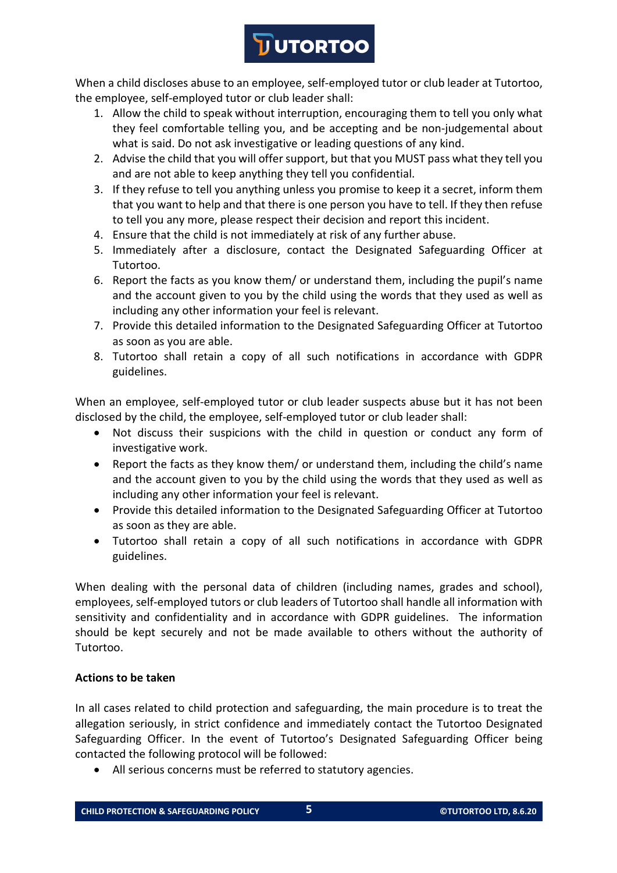When a child discloses abuse to an employee, self-employed tutor or club leader at Tutortoo, the employee, self-employed tutor or club leader shall:

- 1. Allow the child to speak without interruption, encouraging them to tell you only what they feel comfortable telling you, and be accepting and be non-judgemental about what is said. Do not ask investigative or leading questions of any kind.
- 2. Advise the child that you will offer support, but that you MUST pass what they tell you and are not able to keep anything they tell you confidential.
- 3. If they refuse to tell you anything unless you promise to keep it a secret, inform them that you want to help and that there is one person you have to tell. If they then refuse to tell you any more, please respect their decision and report this incident.
- 4. Ensure that the child is not immediately at risk of any further abuse.
- 5. Immediately after a disclosure, contact the Designated Safeguarding Officer at Tutortoo.
- 6. Report the facts as you know them/ or understand them, including the pupil's name and the account given to you by the child using the words that they used as well as including any other information your feel is relevant.
- 7. Provide this detailed information to the Designated Safeguarding Officer at Tutortoo as soon as you are able.
- 8. Tutortoo shall retain a copy of all such notifications in accordance with GDPR guidelines.

When an employee, self-employed tutor or club leader suspects abuse but it has not been disclosed by the child, the employee, self-employed tutor or club leader shall:

- Not discuss their suspicions with the child in question or conduct any form of investigative work.
- Report the facts as they know them/ or understand them, including the child's name and the account given to you by the child using the words that they used as well as including any other information your feel is relevant.
- Provide this detailed information to the Designated Safeguarding Officer at Tutortoo as soon as they are able.
- Tutortoo shall retain a copy of all such notifications in accordance with GDPR guidelines.

When dealing with the personal data of children (including names, grades and school), employees, self-employed tutors or club leaders of Tutortoo shall handle all information with sensitivity and confidentiality and in accordance with GDPR guidelines. The information should be kept securely and not be made available to others without the authority of Tutortoo.

# **Actions to be taken**

In all cases related to child protection and safeguarding, the main procedure is to treat the allegation seriously, in strict confidence and immediately contact the Tutortoo Designated Safeguarding Officer. In the event of Tutortoo's Designated Safeguarding Officer being contacted the following protocol will be followed:

• All serious concerns must be referred to statutory agencies.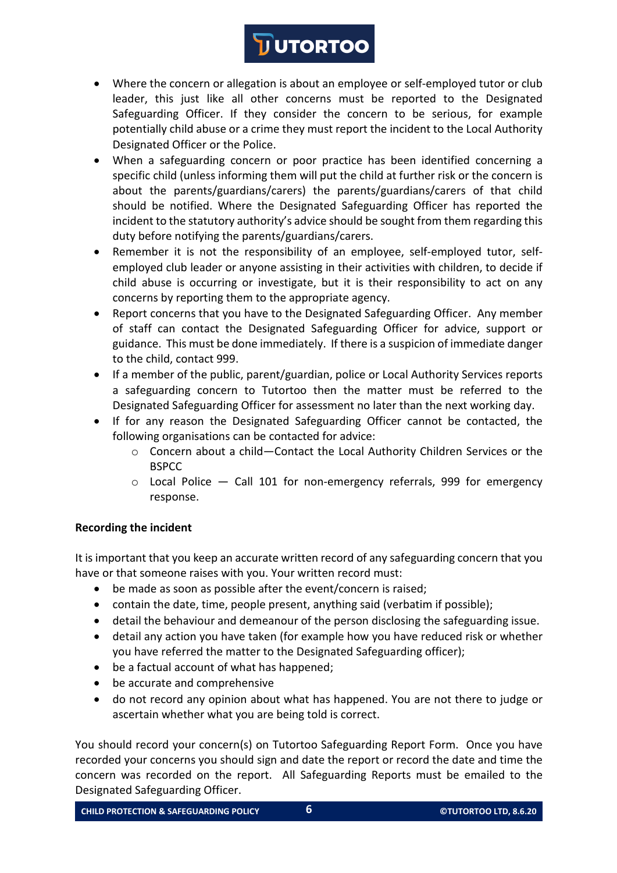- Where the concern or allegation is about an employee or self-employed tutor or club leader, this just like all other concerns must be reported to the Designated Safeguarding Officer. If they consider the concern to be serious, for example potentially child abuse or a crime they must report the incident to the Local Authority Designated Officer or the Police.
- When a safeguarding concern or poor practice has been identified concerning a specific child (unless informing them will put the child at further risk or the concern is about the parents/guardians/carers) the parents/guardians/carers of that child should be notified. Where the Designated Safeguarding Officer has reported the incident to the statutory authority's advice should be sought from them regarding this duty before notifying the parents/guardians/carers.
- Remember it is not the responsibility of an employee, self-employed tutor, selfemployed club leader or anyone assisting in their activities with children, to decide if child abuse is occurring or investigate, but it is their responsibility to act on any concerns by reporting them to the appropriate agency.
- Report concerns that you have to the Designated Safeguarding Officer. Any member of staff can contact the Designated Safeguarding Officer for advice, support or guidance. This must be done immediately. If there is a suspicion of immediate danger to the child, contact 999.
- If a member of the public, parent/guardian, police or Local Authority Services reports a safeguarding concern to Tutortoo then the matter must be referred to the Designated Safeguarding Officer for assessment no later than the next working day.
- If for any reason the Designated Safeguarding Officer cannot be contacted, the following organisations can be contacted for advice:
	- o Concern about a child—Contact the Local Authority Children Services or the **BSPCC**
	- $\circ$  Local Police  $-$  Call 101 for non-emergency referrals, 999 for emergency response.

# **Recording the incident**

It is important that you keep an accurate written record of any safeguarding concern that you have or that someone raises with you. Your written record must:

- be made as soon as possible after the event/concern is raised;
- contain the date, time, people present, anything said (verbatim if possible);
- detail the behaviour and demeanour of the person disclosing the safeguarding issue.
- detail any action you have taken (for example how you have reduced risk or whether you have referred the matter to the Designated Safeguarding officer);
- be a factual account of what has happened;
- be accurate and comprehensive
- do not record any opinion about what has happened. You are not there to judge or ascertain whether what you are being told is correct.

You should record your concern(s) on Tutortoo Safeguarding Report Form. Once you have recorded your concerns you should sign and date the report or record the date and time the concern was recorded on the report. All Safeguarding Reports must be emailed to the Designated Safeguarding Officer.

**CHILD PROTECTION & SAFEGUARDING POLICY 6 ©TUTORTOO LTD, 8.6.20**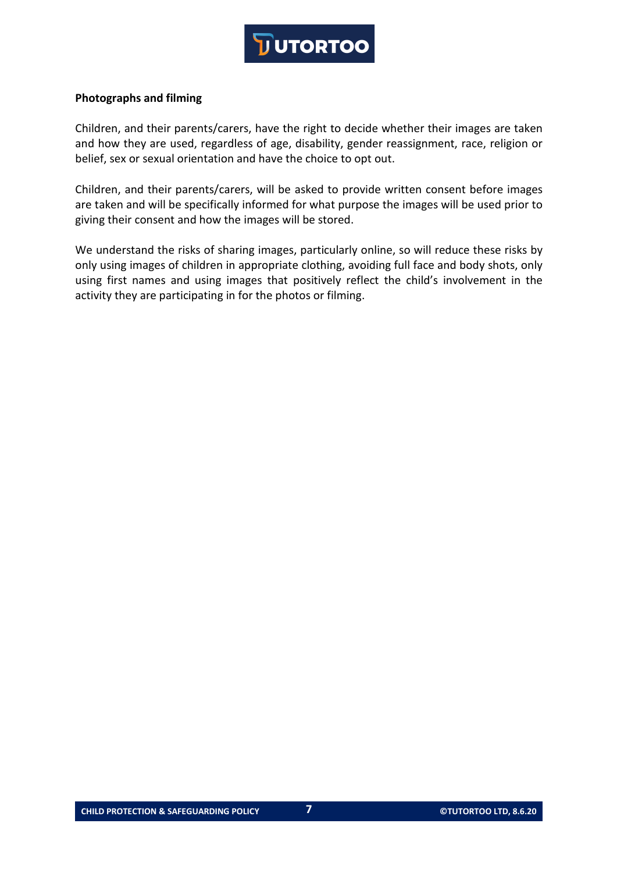#### **Photographs and filming**

Children, and their parents/carers, have the right to decide whether their images are taken and how they are used, regardless of age, disability, gender reassignment, race, religion or belief, sex or sexual orientation and have the choice to opt out.

Children, and their parents/carers, will be asked to provide written consent before images are taken and will be specifically informed for what purpose the images will be used prior to giving their consent and how the images will be stored.

We understand the risks of sharing images, particularly online, so will reduce these risks by only using images of children in appropriate clothing, avoiding full face and body shots, only using first names and using images that positively reflect the child's involvement in the activity they are participating in for the photos or filming.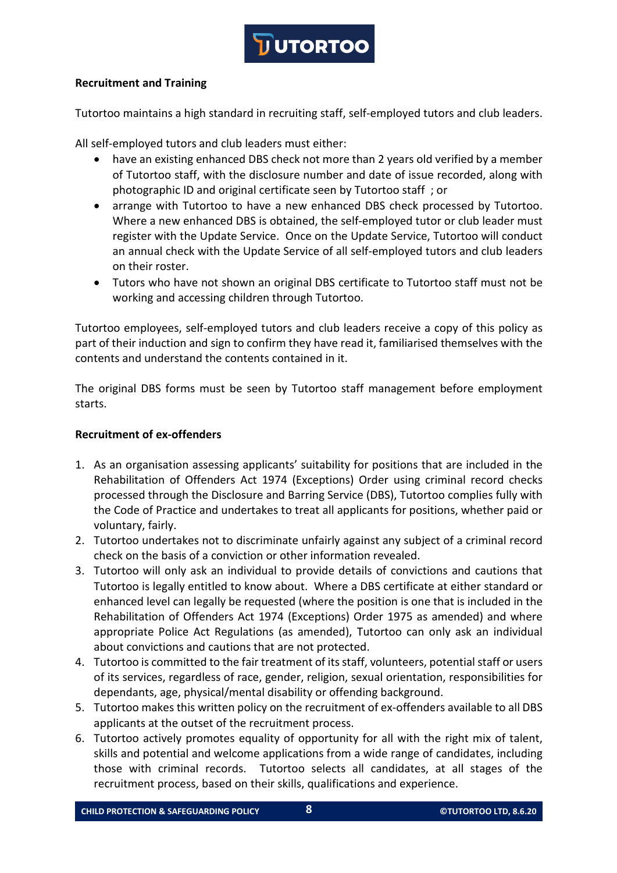

# **Recruitment and Training**

Tutortoo maintains a high standard in recruiting staff, self-employed tutors and club leaders.

All self-employed tutors and club leaders must either:

- have an existing enhanced DBS check not more than 2 years old verified by a member of Tutortoo staff, with the disclosure number and date of issue recorded, along with photographic ID and original certificate seen by Tutortoo staff ; or
- arrange with Tutortoo to have a new enhanced DBS check processed by Tutortoo. Where a new enhanced DBS is obtained, the self-employed tutor or club leader must register with the Update Service. Once on the Update Service, Tutortoo will conduct an annual check with the Update Service of all self-employed tutors and club leaders on their roster.
- Tutors who have not shown an original DBS certificate to Tutortoo staff must not be working and accessing children through Tutortoo.

Tutortoo employees, self-employed tutors and club leaders receive a copy of this policy as part of their induction and sign to confirm they have read it, familiarised themselves with the contents and understand the contents contained in it.

The original DBS forms must be seen by Tutortoo staff management before employment starts.

### **Recruitment of ex-offenders**

- 1. As an organisation assessing applicants' suitability for positions that are included in the Rehabilitation of Offenders Act 1974 (Exceptions) Order using criminal record checks processed through the Disclosure and Barring Service (DBS), Tutortoo complies fully with the Code of Practice and undertakes to treat all applicants for positions, whether paid or voluntary, fairly.
- 2. Tutortoo undertakes not to discriminate unfairly against any subject of a criminal record check on the basis of a conviction or other information revealed.
- 3. Tutortoo will only ask an individual to provide details of convictions and cautions that Tutortoo is legally entitled to know about. Where a DBS certificate at either standard or enhanced level can legally be requested (where the position is one that is included in the Rehabilitation of Offenders Act 1974 (Exceptions) Order 1975 as amended) and where appropriate Police Act Regulations (as amended), Tutortoo can only ask an individual about convictions and cautions that are not protected.
- 4. Tutortoo is committed to the fair treatment of its staff, volunteers, potential staff or users of its services, regardless of race, gender, religion, sexual orientation, responsibilities for dependants, age, physical/mental disability or offending background.
- 5. Tutortoo makes this written policy on the recruitment of ex-offenders available to all DBS applicants at the outset of the recruitment process.
- 6. Tutortoo actively promotes equality of opportunity for all with the right mix of talent, skills and potential and welcome applications from a wide range of candidates, including those with criminal records. Tutortoo selects all candidates, at all stages of the recruitment process, based on their skills, qualifications and experience.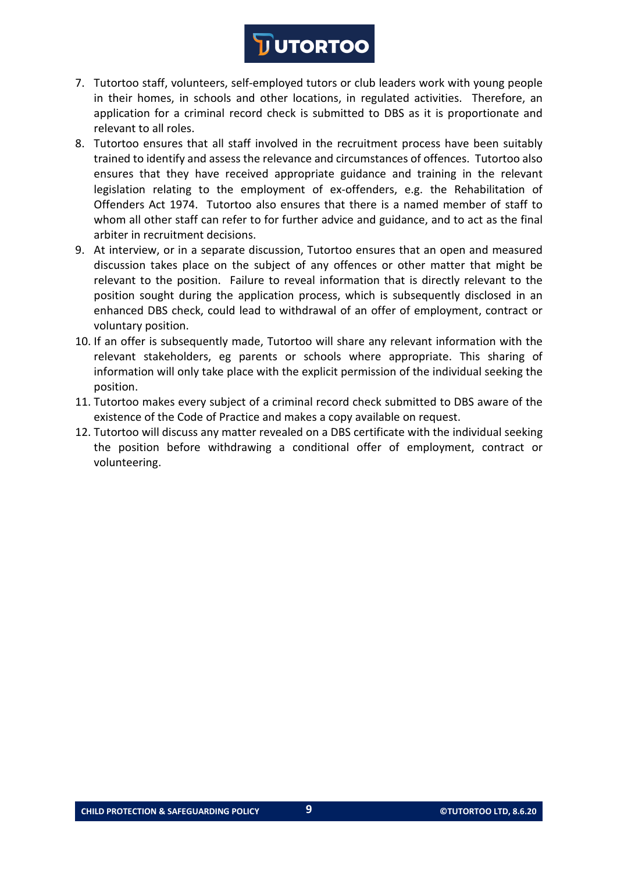- 7. Tutortoo staff, volunteers, self-employed tutors or club leaders work with young people in their homes, in schools and other locations, in regulated activities. Therefore, an application for a criminal record check is submitted to DBS as it is proportionate and relevant to all roles.
- 8. Tutortoo ensures that all staff involved in the recruitment process have been suitably trained to identify and assess the relevance and circumstances of offences. Tutortoo also ensures that they have received appropriate guidance and training in the relevant legislation relating to the employment of ex-offenders, e.g. the Rehabilitation of Offenders Act 1974. Tutortoo also ensures that there is a named member of staff to whom all other staff can refer to for further advice and guidance, and to act as the final arbiter in recruitment decisions.
- 9. At interview, or in a separate discussion, Tutortoo ensures that an open and measured discussion takes place on the subject of any offences or other matter that might be relevant to the position. Failure to reveal information that is directly relevant to the position sought during the application process, which is subsequently disclosed in an enhanced DBS check, could lead to withdrawal of an offer of employment, contract or voluntary position.
- 10. If an offer is subsequently made, Tutortoo will share any relevant information with the relevant stakeholders, eg parents or schools where appropriate. This sharing of information will only take place with the explicit permission of the individual seeking the position.
- 11. Tutortoo makes every subject of a criminal record check submitted to DBS aware of the existence of the Code of Practice and makes a copy available on request.
- 12. Tutortoo will discuss any matter revealed on a DBS certificate with the individual seeking the position before withdrawing a conditional offer of employment, contract or volunteering.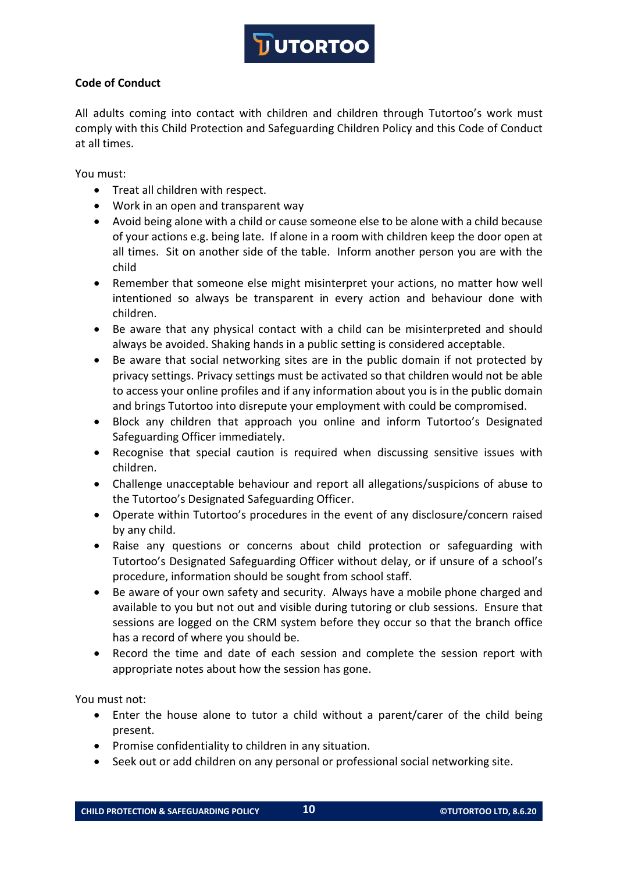

# **Code of Conduct**

All adults coming into contact with children and children through Tutortoo's work must comply with this Child Protection and Safeguarding Children Policy and this Code of Conduct at all times.

You must:

- Treat all children with respect.
- Work in an open and transparent way
- Avoid being alone with a child or cause someone else to be alone with a child because of your actions e.g. being late. If alone in a room with children keep the door open at all times. Sit on another side of the table. Inform another person you are with the child
- Remember that someone else might misinterpret your actions, no matter how well intentioned so always be transparent in every action and behaviour done with children.
- Be aware that any physical contact with a child can be misinterpreted and should always be avoided. Shaking hands in a public setting is considered acceptable.
- Be aware that social networking sites are in the public domain if not protected by privacy settings. Privacy settings must be activated so that children would not be able to access your online profiles and if any information about you is in the public domain and brings Tutortoo into disrepute your employment with could be compromised.
- Block any children that approach you online and inform Tutortoo's Designated Safeguarding Officer immediately.
- Recognise that special caution is required when discussing sensitive issues with children.
- Challenge unacceptable behaviour and report all allegations/suspicions of abuse to the Tutortoo's Designated Safeguarding Officer.
- Operate within Tutortoo's procedures in the event of any disclosure/concern raised by any child.
- Raise any questions or concerns about child protection or safeguarding with Tutortoo's Designated Safeguarding Officer without delay, or if unsure of a school's procedure, information should be sought from school staff.
- Be aware of your own safety and security. Always have a mobile phone charged and available to you but not out and visible during tutoring or club sessions. Ensure that sessions are logged on the CRM system before they occur so that the branch office has a record of where you should be.
- Record the time and date of each session and complete the session report with appropriate notes about how the session has gone.

You must not:

- Enter the house alone to tutor a child without a parent/carer of the child being present.
- Promise confidentiality to children in any situation.
- Seek out or add children on any personal or professional social networking site.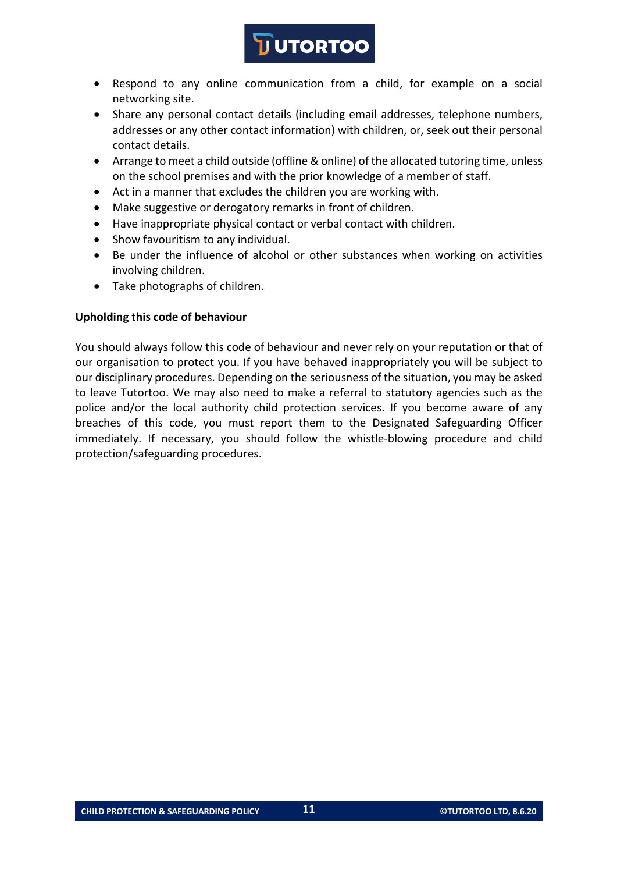- Respond to any online communication from a child, for example on a social networking site.
- Share any personal contact details (including email addresses, telephone numbers, addresses or any other contact information) with children, or, seek out their personal contact details.
- Arrange to meet a child outside (offline & online) of the allocated tutoring time, unless on the school premises and with the prior knowledge of a member of staff.
- Act in a manner that excludes the children you are working with.
- Make suggestive or derogatory remarks in front of children.
- Have inappropriate physical contact or verbal contact with children.
- Show favouritism to any individual.
- Be under the influence of alcohol or other substances when working on activities involving children.
- Take photographs of children.

### **Upholding this code of behaviour**

You should always follow this code of behaviour and never rely on your reputation or that of our organisation to protect you. If you have behaved inappropriately you will be subject to our disciplinary procedures. Depending on the seriousness of the situation, you may be asked to leave Tutortoo. We may also need to make a referral to statutory agencies such as the police and/or the local authority child protection services. If you become aware of any breaches of this code, you must report them to the Designated Safeguarding Officer immediately. If necessary, you should follow the whistle-blowing procedure and child protection/safeguarding procedures.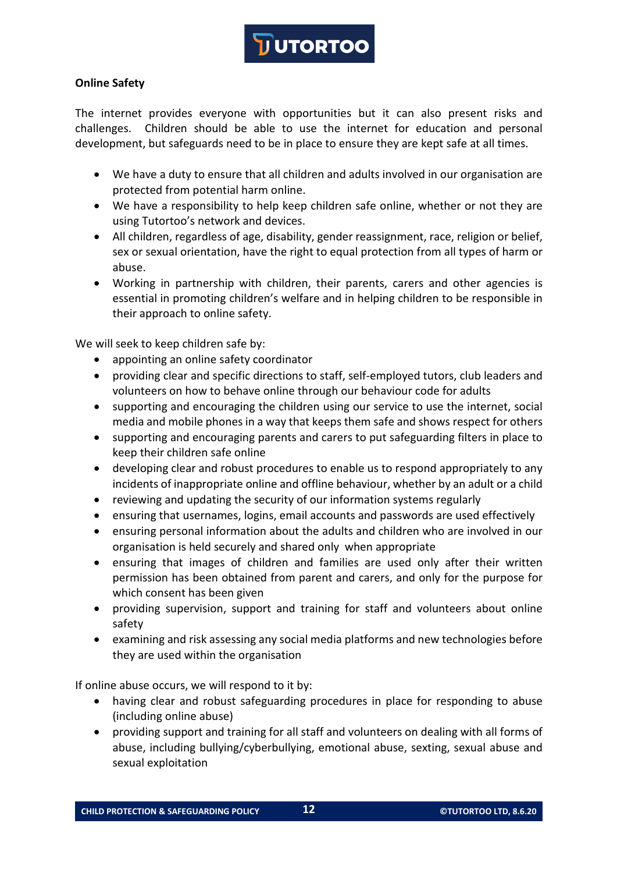

# **Online Safety**

The internet provides everyone with opportunities but it can also present risks and challenges. Children should be able to use the internet for education and personal development, but safeguards need to be in place to ensure they are kept safe at all times.

- We have a duty to ensure that all children and adults involved in our organisation are protected from potential harm online.
- We have a responsibility to help keep children safe online, whether or not they are using Tutortoo's network and devices.
- All children, regardless of age, disability, gender reassignment, race, religion or belief, sex or sexual orientation, have the right to equal protection from all types of harm or abuse.
- Working in partnership with children, their parents, carers and other agencies is essential in promoting children's welfare and in helping children to be responsible in their approach to online safety.

We will seek to keep children safe by:

- appointing an online safety coordinator
- providing clear and specific directions to staff, self-employed tutors, club leaders and volunteers on how to behave online through our behaviour code for adults
- supporting and encouraging the children using our service to use the internet, social media and mobile phones in a way that keeps them safe and shows respect for others
- supporting and encouraging parents and carers to put safeguarding filters in place to keep their children safe online
- developing clear and robust procedures to enable us to respond appropriately to any incidents of inappropriate online and offline behaviour, whether by an adult or a child
- reviewing and updating the security of our information systems regularly
- ensuring that usernames, logins, email accounts and passwords are used effectively
- ensuring personal information about the adults and children who are involved in our organisation is held securely and shared only when appropriate
- ensuring that images of children and families are used only after their written permission has been obtained from parent and carers, and only for the purpose for which consent has been given
- providing supervision, support and training for staff and volunteers about online safety
- examining and risk assessing any social media platforms and new technologies before they are used within the organisation

If online abuse occurs, we will respond to it by:

- having clear and robust safeguarding procedures in place for responding to abuse (including online abuse)
- providing support and training for all staff and volunteers on dealing with all forms of abuse, including bullying/cyberbullying, emotional abuse, sexting, sexual abuse and sexual exploitation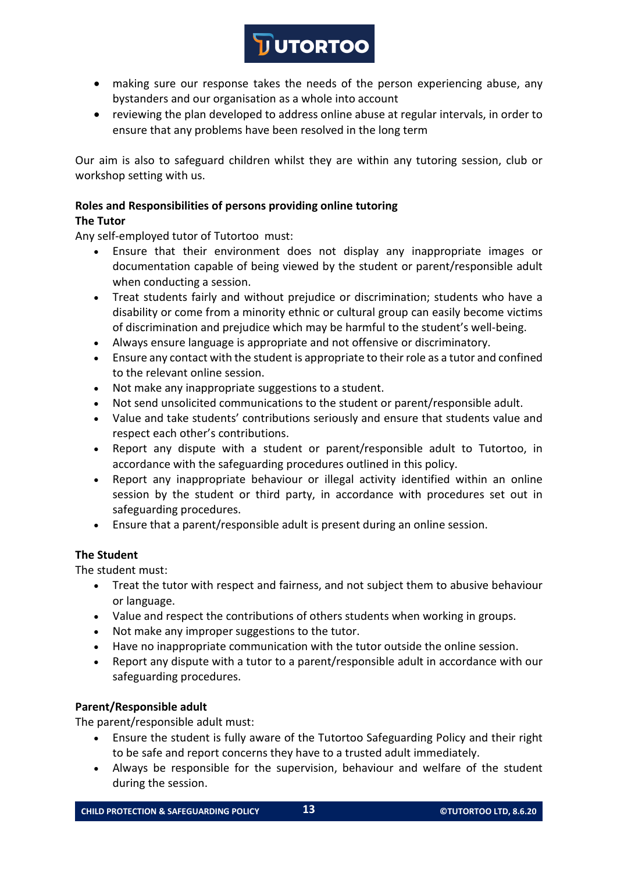# • making sure our response takes the needs of the person experiencing abuse, any bystanders and our organisation as a whole into account

**DUTORTOO** 

• reviewing the plan developed to address online abuse at regular intervals, in order to ensure that any problems have been resolved in the long term

Our aim is also to safeguard children whilst they are within any tutoring session, club or workshop setting with us.

#### **Roles and Responsibilities of persons providing online tutoring The Tutor**

Any self-employed tutor of Tutortoo must:

- Ensure that their environment does not display any inappropriate images or documentation capable of being viewed by the student or parent/responsible adult when conducting a session.
- Treat students fairly and without prejudice or discrimination; students who have a disability or come from a minority ethnic or cultural group can easily become victims of discrimination and prejudice which may be harmful to the student's well-being.
- Always ensure language is appropriate and not offensive or discriminatory.
- Ensure any contact with the student is appropriate to their role as a tutor and confined to the relevant online session.
- Not make any inappropriate suggestions to a student.
- Not send unsolicited communications to the student or parent/responsible adult.
- Value and take students' contributions seriously and ensure that students value and respect each other's contributions.
- Report any dispute with a student or parent/responsible adult to Tutortoo, in accordance with the safeguarding procedures outlined in this policy.
- Report any inappropriate behaviour or illegal activity identified within an online session by the student or third party, in accordance with procedures set out in safeguarding procedures.
- Ensure that a parent/responsible adult is present during an online session.

# **The Student**

The student must:

- Treat the tutor with respect and fairness, and not subject them to abusive behaviour or language.
- Value and respect the contributions of others students when working in groups.
- Not make any improper suggestions to the tutor.
- Have no inappropriate communication with the tutor outside the online session.
- Report any dispute with a tutor to a parent/responsible adult in accordance with our safeguarding procedures.

# **Parent/Responsible adult**

The parent/responsible adult must:

- Ensure the student is fully aware of the Tutortoo Safeguarding Policy and their right to be safe and report concerns they have to a trusted adult immediately.
- Always be responsible for the supervision, behaviour and welfare of the student during the session.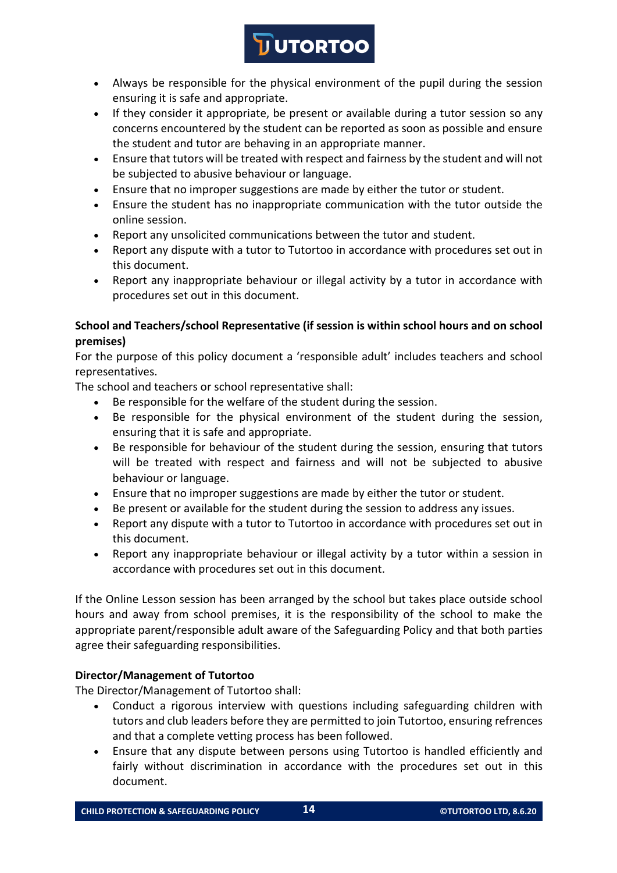# **JUTORTOO**

- Always be responsible for the physical environment of the pupil during the session ensuring it is safe and appropriate.
- If they consider it appropriate, be present or available during a tutor session so any concerns encountered by the student can be reported as soon as possible and ensure the student and tutor are behaving in an appropriate manner.
- Ensure that tutors will be treated with respect and fairness by the student and will not be subjected to abusive behaviour or language.
- Ensure that no improper suggestions are made by either the tutor or student.
- Ensure the student has no inappropriate communication with the tutor outside the online session.
- Report any unsolicited communications between the tutor and student.
- Report any dispute with a tutor to Tutortoo in accordance with procedures set out in this document.
- Report any inappropriate behaviour or illegal activity by a tutor in accordance with procedures set out in this document.

# **School and Teachers/school Representative (if session is within school hours and on school premises)**

For the purpose of this policy document a 'responsible adult' includes teachers and school representatives.

The school and teachers or school representative shall:

- Be responsible for the welfare of the student during the session.
- Be responsible for the physical environment of the student during the session, ensuring that it is safe and appropriate.
- Be responsible for behaviour of the student during the session, ensuring that tutors will be treated with respect and fairness and will not be subjected to abusive behaviour or language.
- Ensure that no improper suggestions are made by either the tutor or student.
- Be present or available for the student during the session to address any issues.
- Report any dispute with a tutor to Tutortoo in accordance with procedures set out in this document.
- Report any inappropriate behaviour or illegal activity by a tutor within a session in accordance with procedures set out in this document.

If the Online Lesson session has been arranged by the school but takes place outside school hours and away from school premises, it is the responsibility of the school to make the appropriate parent/responsible adult aware of the Safeguarding Policy and that both parties agree their safeguarding responsibilities.

# **Director/Management of Tutortoo**

The Director/Management of Tutortoo shall:

- Conduct a rigorous interview with questions including safeguarding children with tutors and club leaders before they are permitted to join Tutortoo, ensuring refrences and that a complete vetting process has been followed.
- Ensure that any dispute between persons using Tutortoo is handled efficiently and fairly without discrimination in accordance with the procedures set out in this document.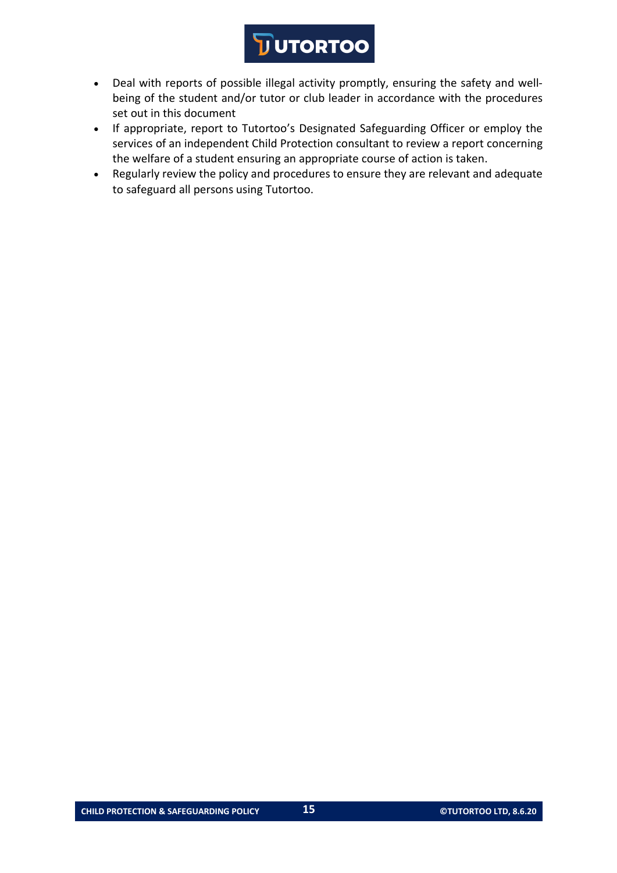- Deal with reports of possible illegal activity promptly, ensuring the safety and wellbeing of the student and/or tutor or club leader in accordance with the procedures set out in this document
- If appropriate, report to Tutortoo's Designated Safeguarding Officer or employ the services of an independent Child Protection consultant to review a report concerning the welfare of a student ensuring an appropriate course of action is taken.
- Regularly review the policy and procedures to ensure they are relevant and adequate to safeguard all persons using Tutortoo.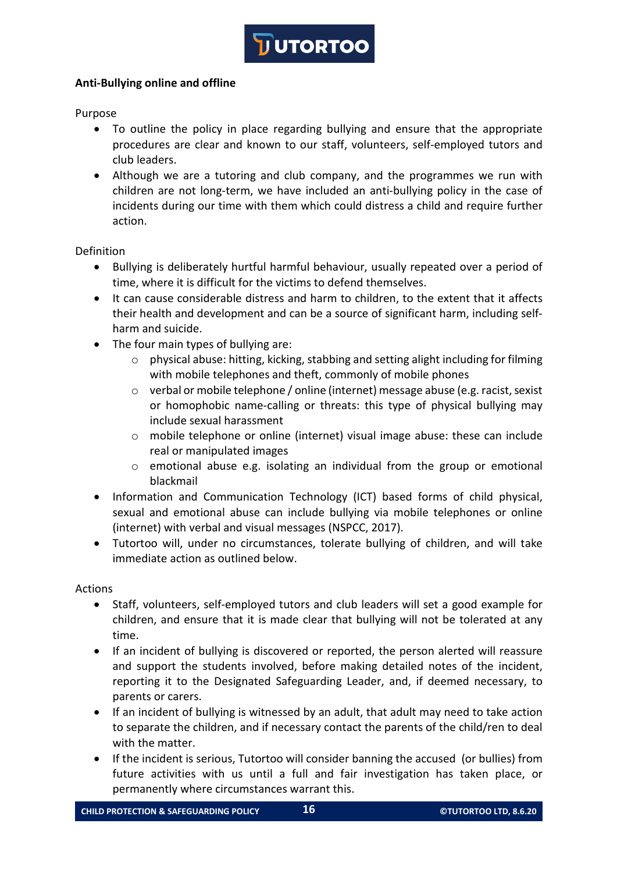## **Anti-Bullying online and offline**

Purpose

- To outline the policy in place regarding bullying and ensure that the appropriate procedures are clear and known to our staff, volunteers, self-employed tutors and club leaders.
- Although we are a tutoring and club company, and the programmes we run with children are not long-term, we have included an anti-bullying policy in the case of incidents during our time with them which could distress a child and require further action.

Definition

- Bullying is deliberately hurtful harmful behaviour, usually repeated over a period of time, where it is difficult for the victims to defend themselves.
- It can cause considerable distress and harm to children, to the extent that it affects their health and development and can be a source of significant harm, including selfharm and suicide.
- The four main types of bullying are:
	- $\circ$  physical abuse: hitting, kicking, stabbing and setting alight including for filming with mobile telephones and theft, commonly of mobile phones
	- o verbal or mobile telephone / online (internet) message abuse (e.g. racist, sexist or homophobic name-calling or threats: this type of physical bullying may include sexual harassment
	- $\circ$  mobile telephone or online (internet) visual image abuse: these can include real or manipulated images
	- $\circ$  emotional abuse e.g. isolating an individual from the group or emotional blackmail
- Information and Communication Technology (ICT) based forms of child physical, sexual and emotional abuse can include bullying via mobile telephones or online (internet) with verbal and visual messages (NSPCC, 2017).
- Tutortoo will, under no circumstances, tolerate bullying of children, and will take immediate action as outlined below.

Actions

- Staff, volunteers, self-employed tutors and club leaders will set a good example for children, and ensure that it is made clear that bullying will not be tolerated at any time.
- If an incident of bullying is discovered or reported, the person alerted will reassure and support the students involved, before making detailed notes of the incident, reporting it to the Designated Safeguarding Leader, and, if deemed necessary, to parents or carers.
- If an incident of bullying is witnessed by an adult, that adult may need to take action to separate the children, and if necessary contact the parents of the child/ren to deal with the matter.
- If the incident is serious, Tutortoo will consider banning the accused (or bullies) from future activities with us until a full and fair investigation has taken place, or permanently where circumstances warrant this.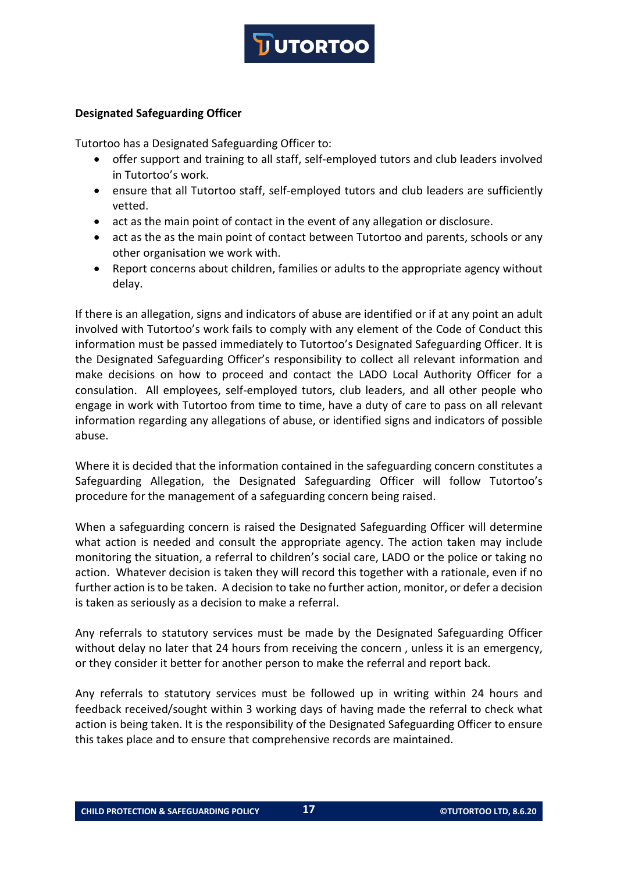

#### **Designated Safeguarding Officer**

Tutortoo has a Designated Safeguarding Officer to:

- offer support and training to all staff, self-employed tutors and club leaders involved in Tutortoo's work.
- ensure that all Tutortoo staff, self-employed tutors and club leaders are sufficiently vetted.
- act as the main point of contact in the event of any allegation or disclosure.
- act as the as the main point of contact between Tutortoo and parents, schools or any other organisation we work with.
- Report concerns about children, families or adults to the appropriate agency without delay.

If there is an allegation, signs and indicators of abuse are identified or if at any point an adult involved with Tutortoo's work fails to comply with any element of the Code of Conduct this information must be passed immediately to Tutortoo's Designated Safeguarding Officer. It is the Designated Safeguarding Officer's responsibility to collect all relevant information and make decisions on how to proceed and contact the LADO Local Authority Officer for a consulation. All employees, self-employed tutors, club leaders, and all other people who engage in work with Tutortoo from time to time, have a duty of care to pass on all relevant information regarding any allegations of abuse, or identified signs and indicators of possible abuse.

Where it is decided that the information contained in the safeguarding concern constitutes a Safeguarding Allegation, the Designated Safeguarding Officer will follow Tutortoo's procedure for the management of a safeguarding concern being raised.

When a safeguarding concern is raised the Designated Safeguarding Officer will determine what action is needed and consult the appropriate agency. The action taken may include monitoring the situation, a referral to children's social care, LADO or the police or taking no action. Whatever decision is taken they will record this together with a rationale, even if no further action is to be taken. A decision to take no further action, monitor, or defer a decision is taken as seriously as a decision to make a referral.

Any referrals to statutory services must be made by the Designated Safeguarding Officer without delay no later that 24 hours from receiving the concern, unless it is an emergency, or they consider it better for another person to make the referral and report back.

Any referrals to statutory services must be followed up in writing within 24 hours and feedback received/sought within 3 working days of having made the referral to check what action is being taken. It is the responsibility of the Designated Safeguarding Officer to ensure this takes place and to ensure that comprehensive records are maintained.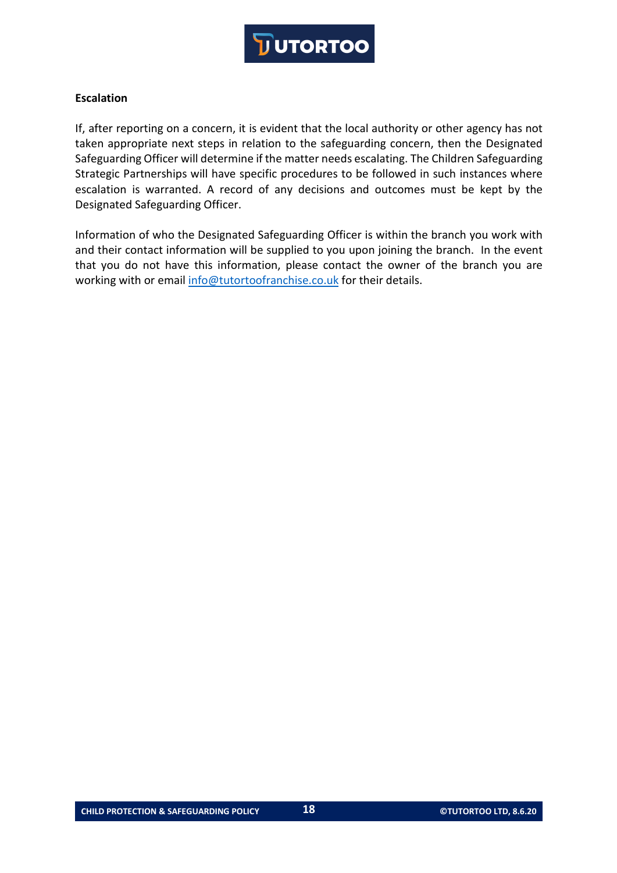

### **Escalation**

If, after reporting on a concern, it is evident that the local authority or other agency has not taken appropriate next steps in relation to the safeguarding concern, then the Designated Safeguarding Officer will determine if the matter needs escalating. The Children Safeguarding Strategic Partnerships will have specific procedures to be followed in such instances where escalation is warranted. A record of any decisions and outcomes must be kept by the Designated Safeguarding Officer.

Information of who the Designated Safeguarding Officer is within the branch you work with and their contact information will be supplied to you upon joining the branch. In the event that you do not have this information, please contact the owner of the branch you are working with or email info@tutortoofranchise.co.uk for their details.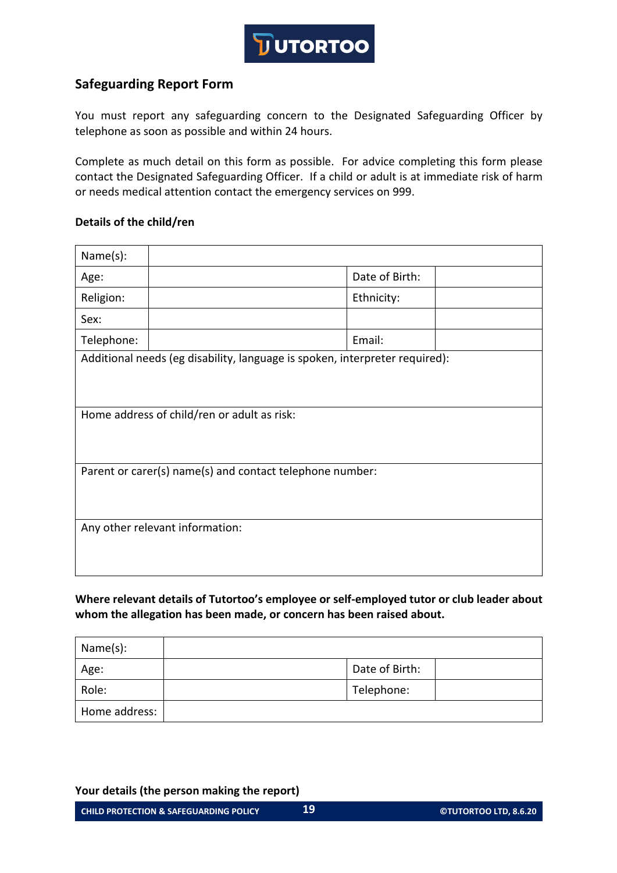

# **Safeguarding Report Form**

You must report any safeguarding concern to the Designated Safeguarding Officer by telephone as soon as possible and within 24 hours.

Complete as much detail on this form as possible. For advice completing this form please contact the Designated Safeguarding Officer. If a child or adult is at immediate risk of harm or needs medical attention contact the emergency services on 999.

### **Details of the child/ren**

| Name(s):                                                                    |  |                |  |
|-----------------------------------------------------------------------------|--|----------------|--|
| Age:                                                                        |  | Date of Birth: |  |
| Religion:                                                                   |  | Ethnicity:     |  |
| Sex:                                                                        |  |                |  |
| Telephone:                                                                  |  | Email:         |  |
| Additional needs (eg disability, language is spoken, interpreter required): |  |                |  |
|                                                                             |  |                |  |
|                                                                             |  |                |  |
| Home address of child/ren or adult as risk:                                 |  |                |  |
|                                                                             |  |                |  |
|                                                                             |  |                |  |
| Parent or carer(s) name(s) and contact telephone number:                    |  |                |  |
|                                                                             |  |                |  |
|                                                                             |  |                |  |
| Any other relevant information:                                             |  |                |  |
|                                                                             |  |                |  |
|                                                                             |  |                |  |

**Where relevant details of Tutortoo's employee or self-employed tutor or club leader about whom the allegation has been made, or concern has been raised about.**

| Name(s):      |                |  |
|---------------|----------------|--|
| Age:          | Date of Birth: |  |
| Role:         | Telephone:     |  |
| Home address: |                |  |

**Your details (the person making the report)**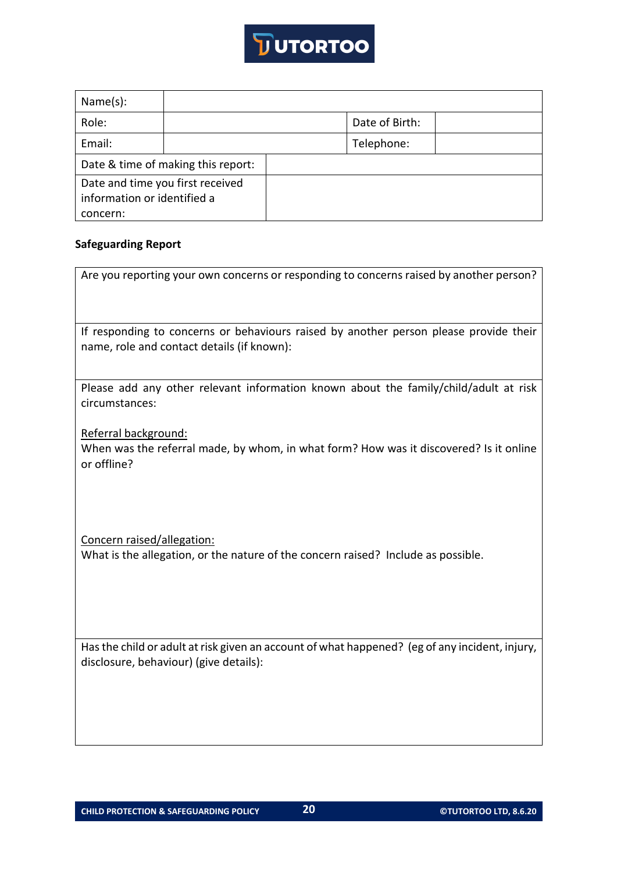

| Name(s):                                                        |  |  |                |  |
|-----------------------------------------------------------------|--|--|----------------|--|
| Role:                                                           |  |  | Date of Birth: |  |
| Email:                                                          |  |  | Telephone:     |  |
| Date & time of making this report:                              |  |  |                |  |
| Date and time you first received<br>information or identified a |  |  |                |  |
| concern:                                                        |  |  |                |  |

#### **Safeguarding Report**

| Are you reporting your own concerns or responding to concerns raised by another person? |
|-----------------------------------------------------------------------------------------|
|                                                                                         |

If responding to concerns or behaviours raised by another person please provide their name, role and contact details (if known):

Please add any other relevant information known about the family/child/adult at risk circumstances:

Referral background:

When was the referral made, by whom, in what form? How was it discovered? Is it online or offline?

Concern raised/allegation: What is the allegation, or the nature of the concern raised? Include as possible.

Has the child or adult at risk given an account of what happened? (eg of any incident, injury, disclosure, behaviour) (give details):